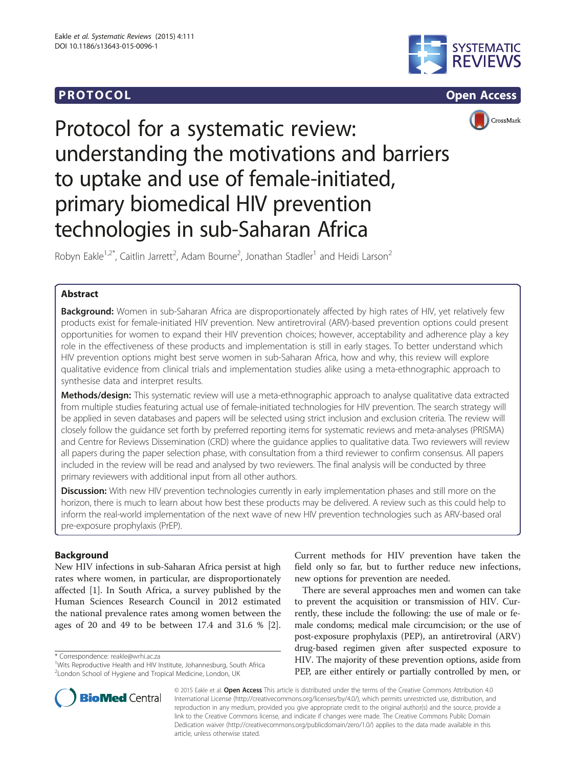# **PROTOCOL CONSUMING ACCESS**





CrossMark

# Protocol for a systematic review: understanding the motivations and barriers to uptake and use of female-initiated, primary biomedical HIV prevention technologies in sub-Saharan Africa

Robyn Eakle<sup>1,2\*</sup>, Caitlin Jarrett<sup>2</sup>, Adam Bourne<sup>2</sup>, Jonathan Stadler<sup>1</sup> and Heidi Larson<sup>2</sup>

# Abstract

**Background:** Women in sub-Saharan Africa are disproportionately affected by high rates of HIV, yet relatively few products exist for female-initiated HIV prevention. New antiretroviral (ARV)-based prevention options could present opportunities for women to expand their HIV prevention choices; however, acceptability and adherence play a key role in the effectiveness of these products and implementation is still in early stages. To better understand which HIV prevention options might best serve women in sub-Saharan Africa, how and why, this review will explore qualitative evidence from clinical trials and implementation studies alike using a meta-ethnographic approach to synthesise data and interpret results.

Methods/design: This systematic review will use a meta-ethnographic approach to analyse qualitative data extracted from multiple studies featuring actual use of female-initiated technologies for HIV prevention. The search strategy will be applied in seven databases and papers will be selected using strict inclusion and exclusion criteria. The review will closely follow the guidance set forth by preferred reporting items for systematic reviews and meta-analyses (PRISMA) and Centre for Reviews Dissemination (CRD) where the guidance applies to qualitative data. Two reviewers will review all papers during the paper selection phase, with consultation from a third reviewer to confirm consensus. All papers included in the review will be read and analysed by two reviewers. The final analysis will be conducted by three primary reviewers with additional input from all other authors.

**Discussion:** With new HIV prevention technologies currently in early implementation phases and still more on the horizon, there is much to learn about how best these products may be delivered. A review such as this could help to inform the real-world implementation of the next wave of new HIV prevention technologies such as ARV-based oral pre-exposure prophylaxis (PrEP).

# Background

New HIV infections in sub-Saharan Africa persist at high rates where women, in particular, are disproportionately affected [[1\]](#page-4-0). In South Africa, a survey published by the Human Sciences Research Council in 2012 estimated the national prevalence rates among women between the ages of 20 and 49 to be between 17.4 and 31.6 % [\[2](#page-4-0)].

\* Correspondence: [reakle@wrhi.ac.za](mailto:reakle@wrhi.ac.za) <sup>1</sup>



There are several approaches men and women can take to prevent the acquisition or transmission of HIV. Currently, these include the following: the use of male or female condoms; medical male circumcision; or the use of post-exposure prophylaxis (PEP), an antiretroviral (ARV) drug-based regimen given after suspected exposure to HIV. The majority of these prevention options, aside from PEP, are either entirely or partially controlled by men, or



© 2015 Eakle et al. Open Access This article is distributed under the terms of the Creative Commons Attribution 4.0 International License [\(http://creativecommons.org/licenses/by/4.0/\)](http://creativecommons.org/licenses/by/4.0/), which permits unrestricted use, distribution, and reproduction in any medium, provided you give appropriate credit to the original author(s) and the source, provide a link to the Creative Commons license, and indicate if changes were made. The Creative Commons Public Domain Dedication waiver ([http://creativecommons.org/publicdomain/zero/1.0/\)](http://creativecommons.org/publicdomain/zero/1.0/) applies to the data made available in this article, unless otherwise stated.

<sup>&</sup>lt;sup>1</sup>Wits Reproductive Health and HIV Institute, Johannesburg, South Africa <sup>2</sup> London School of Hygiene and Tropical Medicine, London, UK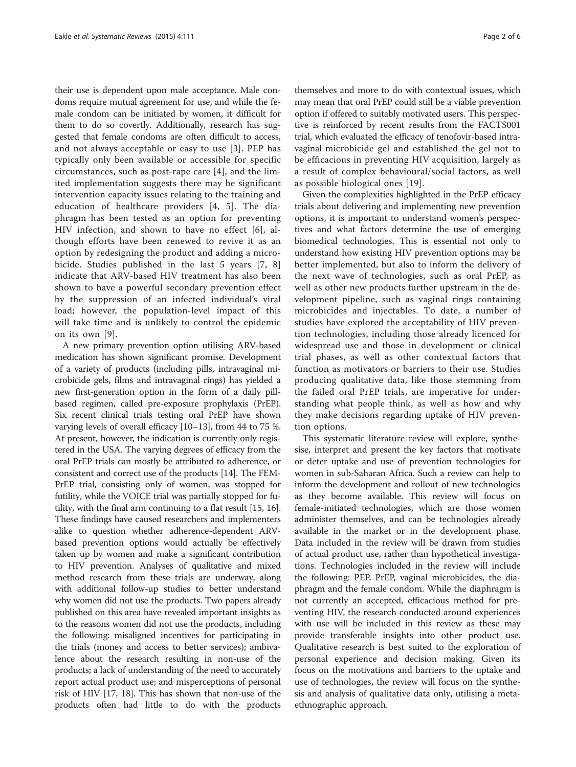their use is dependent upon male acceptance. Male condoms require mutual agreement for use, and while the female condom can be initiated by women, it difficult for them to do so covertly. Additionally, research has suggested that female condoms are often difficult to access, and not always acceptable or easy to use [[3](#page-4-0)]. PEP has typically only been available or accessible for specific circumstances, such as post-rape care [[4](#page-4-0)], and the limited implementation suggests there may be significant intervention capacity issues relating to the training and education of healthcare providers [[4](#page-4-0), [5\]](#page-4-0). The diaphragm has been tested as an option for preventing HIV infection, and shown to have no effect [[6\]](#page-4-0), although efforts have been renewed to revive it as an option by redesigning the product and adding a microbicide. Studies published in the last 5 years [[7](#page-4-0), [8](#page-4-0)] indicate that ARV-based HIV treatment has also been shown to have a powerful secondary prevention effect by the suppression of an infected individual's viral load; however, the population-level impact of this will take time and is unlikely to control the epidemic on its own [[9\]](#page-4-0).

A new primary prevention option utilising ARV-based medication has shown significant promise. Development of a variety of products (including pills, intravaginal microbicide gels, films and intravaginal rings) has yielded a new first-generation option in the form of a daily pillbased regimen, called pre-exposure prophylaxis (PrEP). Six recent clinical trials testing oral PrEP have shown varying levels of overall efficacy [[10](#page-4-0)–[13\]](#page-4-0), from 44 to 75 %. At present, however, the indication is currently only registered in the USA. The varying degrees of efficacy from the oral PrEP trials can mostly be attributed to adherence, or consistent and correct use of the products [\[14\]](#page-4-0). The FEM-PrEP trial, consisting only of women, was stopped for futility, while the VOICE trial was partially stopped for futility, with the final arm continuing to a flat result [\[15, 16](#page-4-0)]. These findings have caused researchers and implementers alike to question whether adherence-dependent ARVbased prevention options would actually be effectively taken up by women and make a significant contribution to HIV prevention. Analyses of qualitative and mixed method research from these trials are underway, along with additional follow-up studies to better understand why women did not use the products. Two papers already published on this area have revealed important insights as to the reasons women did not use the products, including the following: misaligned incentives for participating in the trials (money and access to better services); ambivalence about the research resulting in non-use of the products; a lack of understanding of the need to accurately report actual product use; and misperceptions of personal risk of HIV [\[17, 18\]](#page-4-0). This has shown that non-use of the products often had little to do with the products

themselves and more to do with contextual issues, which may mean that oral PrEP could still be a viable prevention option if offered to suitably motivated users. This perspective is reinforced by recent results from the FACTS001 trial, which evaluated the efficacy of tenofovir-based intravaginal microbicide gel and established the gel not to be efficacious in preventing HIV acquisition, largely as a result of complex behavioural/social factors, as well as possible biological ones [[19](#page-4-0)].

Given the complexities highlighted in the PrEP efficacy trials about delivering and implementing new prevention options, it is important to understand women's perspectives and what factors determine the use of emerging biomedical technologies. This is essential not only to understand how existing HIV prevention options may be better implemented, but also to inform the delivery of the next wave of technologies, such as oral PrEP, as well as other new products further upstream in the development pipeline, such as vaginal rings containing microbicides and injectables. To date, a number of studies have explored the acceptability of HIV prevention technologies, including those already licenced for widespread use and those in development or clinical trial phases, as well as other contextual factors that function as motivators or barriers to their use. Studies producing qualitative data, like those stemming from the failed oral PrEP trials, are imperative for understanding what people think, as well as how and why they make decisions regarding uptake of HIV prevention options.

This systematic literature review will explore, synthesise, interpret and present the key factors that motivate or deter uptake and use of prevention technologies for women in sub-Saharan Africa. Such a review can help to inform the development and rollout of new technologies as they become available. This review will focus on female-initiated technologies, which are those women administer themselves, and can be technologies already available in the market or in the development phase. Data included in the review will be drawn from studies of actual product use, rather than hypothetical investigations. Technologies included in the review will include the following: PEP, PrEP, vaginal microbicides, the diaphragm and the female condom. While the diaphragm is not currently an accepted, efficacious method for preventing HIV, the research conducted around experiences with use will be included in this review as these may provide transferable insights into other product use. Qualitative research is best suited to the exploration of personal experience and decision making. Given its focus on the motivations and barriers to the uptake and use of technologies, the review will focus on the synthesis and analysis of qualitative data only, utilising a metaethnographic approach.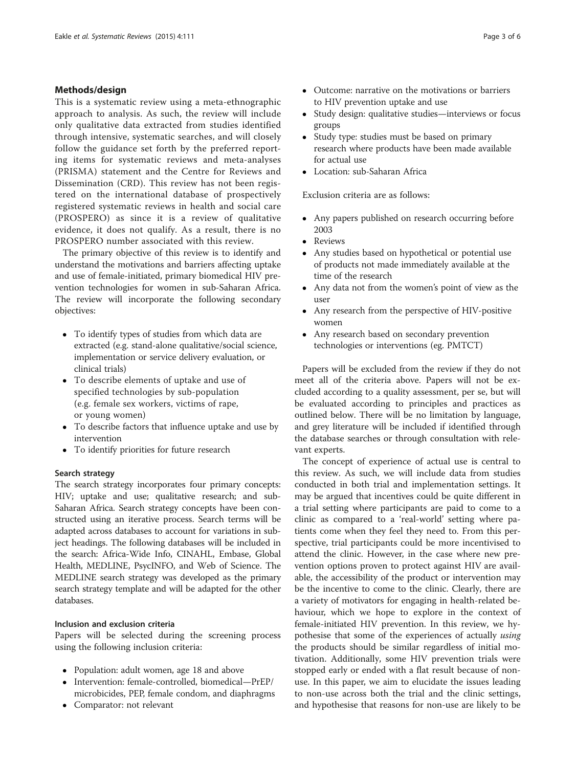# Methods/design

This is a systematic review using a meta-ethnographic approach to analysis. As such, the review will include only qualitative data extracted from studies identified through intensive, systematic searches, and will closely follow the guidance set forth by the preferred reporting items for systematic reviews and meta-analyses (PRISMA) statement and the Centre for Reviews and Dissemination (CRD). This review has not been registered on the international database of prospectively registered systematic reviews in health and social care (PROSPERO) as since it is a review of qualitative evidence, it does not qualify. As a result, there is no PROSPERO number associated with this review.

The primary objective of this review is to identify and understand the motivations and barriers affecting uptake and use of female-initiated, primary biomedical HIV prevention technologies for women in sub-Saharan Africa. The review will incorporate the following secondary objectives:

- To identify types of studies from which data are extracted (e.g. stand-alone qualitative/social science, implementation or service delivery evaluation, or clinical trials)
- To describe elements of uptake and use of specified technologies by sub-population (e.g. female sex workers, victims of rape, or young women)
- To describe factors that influence uptake and use by intervention
- To identify priorities for future research

# Search strategy

The search strategy incorporates four primary concepts: HIV; uptake and use; qualitative research; and sub-Saharan Africa. Search strategy concepts have been constructed using an iterative process. Search terms will be adapted across databases to account for variations in subject headings. The following databases will be included in the search: Africa-Wide Info, CINAHL, Embase, Global Health, MEDLINE, PsycINFO, and Web of Science. The MEDLINE search strategy was developed as the primary search strategy template and will be adapted for the other databases.

# Inclusion and exclusion criteria

Papers will be selected during the screening process using the following inclusion criteria:

- Population: adult women, age 18 and above
- Intervention: female-controlled, biomedical—PrEP/ microbicides, PEP, female condom, and diaphragms
- Comparator: not relevant
- Outcome: narrative on the motivations or barriers to HIV prevention uptake and use
- Study design: qualitative studies—interviews or focus groups
- Study type: studies must be based on primary research where products have been made available for actual use
- Location: sub-Saharan Africa

Exclusion criteria are as follows:

- Any papers published on research occurring before 2003
- Reviews
- Any studies based on hypothetical or potential use of products not made immediately available at the time of the research
- Any data not from the women's point of view as the user
- Any research from the perspective of HIV-positive women
- Any research based on secondary prevention technologies or interventions (eg. PMTCT)

Papers will be excluded from the review if they do not meet all of the criteria above. Papers will not be excluded according to a quality assessment, per se, but will be evaluated according to principles and practices as outlined below. There will be no limitation by language, and grey literature will be included if identified through the database searches or through consultation with relevant experts.

The concept of experience of actual use is central to this review. As such, we will include data from studies conducted in both trial and implementation settings. It may be argued that incentives could be quite different in a trial setting where participants are paid to come to a clinic as compared to a 'real-world' setting where patients come when they feel they need to. From this perspective, trial participants could be more incentivised to attend the clinic. However, in the case where new prevention options proven to protect against HIV are available, the accessibility of the product or intervention may be the incentive to come to the clinic. Clearly, there are a variety of motivators for engaging in health-related behaviour, which we hope to explore in the context of female-initiated HIV prevention. In this review, we hypothesise that some of the experiences of actually using the products should be similar regardless of initial motivation. Additionally, some HIV prevention trials were stopped early or ended with a flat result because of nonuse. In this paper, we aim to elucidate the issues leading to non-use across both the trial and the clinic settings, and hypothesise that reasons for non-use are likely to be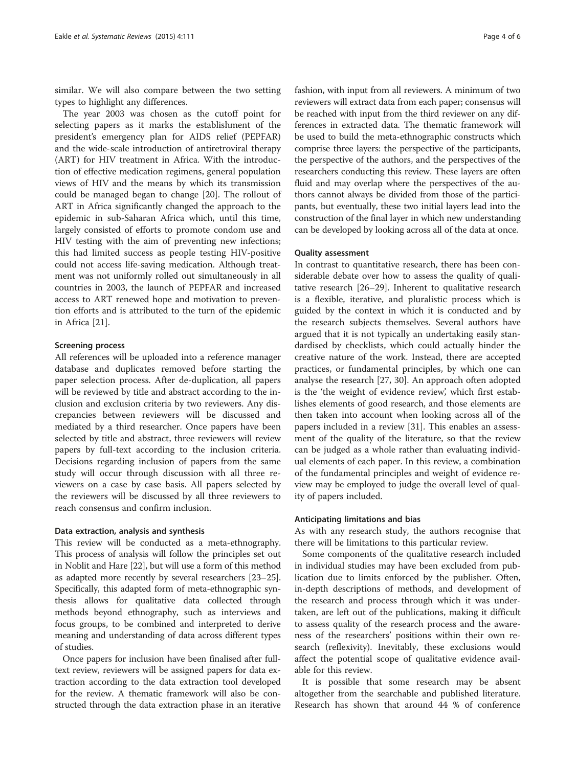similar. We will also compare between the two setting types to highlight any differences.

The year 2003 was chosen as the cutoff point for selecting papers as it marks the establishment of the president's emergency plan for AIDS relief (PEPFAR) and the wide-scale introduction of antiretroviral therapy (ART) for HIV treatment in Africa. With the introduction of effective medication regimens, general population views of HIV and the means by which its transmission could be managed began to change [\[20](#page-4-0)]. The rollout of ART in Africa significantly changed the approach to the epidemic in sub-Saharan Africa which, until this time, largely consisted of efforts to promote condom use and HIV testing with the aim of preventing new infections; this had limited success as people testing HIV-positive could not access life-saving medication. Although treatment was not uniformly rolled out simultaneously in all countries in 2003, the launch of PEPFAR and increased access to ART renewed hope and motivation to prevention efforts and is attributed to the turn of the epidemic in Africa [[21](#page-4-0)].

# Screening process

All references will be uploaded into a reference manager database and duplicates removed before starting the paper selection process. After de-duplication, all papers will be reviewed by title and abstract according to the inclusion and exclusion criteria by two reviewers. Any discrepancies between reviewers will be discussed and mediated by a third researcher. Once papers have been selected by title and abstract, three reviewers will review papers by full-text according to the inclusion criteria. Decisions regarding inclusion of papers from the same study will occur through discussion with all three reviewers on a case by case basis. All papers selected by the reviewers will be discussed by all three reviewers to reach consensus and confirm inclusion.

# Data extraction, analysis and synthesis

This review will be conducted as a meta-ethnography. This process of analysis will follow the principles set out in Noblit and Hare [[22](#page-4-0)], but will use a form of this method as adapted more recently by several researchers [\[23](#page-4-0)–[25](#page-5-0)]. Specifically, this adapted form of meta-ethnographic synthesis allows for qualitative data collected through methods beyond ethnography, such as interviews and focus groups, to be combined and interpreted to derive meaning and understanding of data across different types of studies.

Once papers for inclusion have been finalised after fulltext review, reviewers will be assigned papers for data extraction according to the data extraction tool developed for the review. A thematic framework will also be constructed through the data extraction phase in an iterative

fashion, with input from all reviewers. A minimum of two reviewers will extract data from each paper; consensus will be reached with input from the third reviewer on any differences in extracted data. The thematic framework will be used to build the meta-ethnographic constructs which comprise three layers: the perspective of the participants, the perspective of the authors, and the perspectives of the researchers conducting this review. These layers are often fluid and may overlap where the perspectives of the authors cannot always be divided from those of the participants, but eventually, these two initial layers lead into the construction of the final layer in which new understanding can be developed by looking across all of the data at once.

## Quality assessment

In contrast to quantitative research, there has been considerable debate over how to assess the quality of qualitative research [\[26](#page-5-0)–[29\]](#page-5-0). Inherent to qualitative research is a flexible, iterative, and pluralistic process which is guided by the context in which it is conducted and by the research subjects themselves. Several authors have argued that it is not typically an undertaking easily standardised by checklists, which could actually hinder the creative nature of the work. Instead, there are accepted practices, or fundamental principles, by which one can analyse the research [[27, 30\]](#page-5-0). An approach often adopted is the 'the weight of evidence review', which first establishes elements of good research, and those elements are then taken into account when looking across all of the papers included in a review [[31\]](#page-5-0). This enables an assessment of the quality of the literature, so that the review can be judged as a whole rather than evaluating individual elements of each paper. In this review, a combination of the fundamental principles and weight of evidence review may be employed to judge the overall level of quality of papers included.

#### Anticipating limitations and bias

As with any research study, the authors recognise that there will be limitations to this particular review.

Some components of the qualitative research included in individual studies may have been excluded from publication due to limits enforced by the publisher. Often, in-depth descriptions of methods, and development of the research and process through which it was undertaken, are left out of the publications, making it difficult to assess quality of the research process and the awareness of the researchers' positions within their own research (reflexivity). Inevitably, these exclusions would affect the potential scope of qualitative evidence available for this review.

It is possible that some research may be absent altogether from the searchable and published literature. Research has shown that around 44 % of conference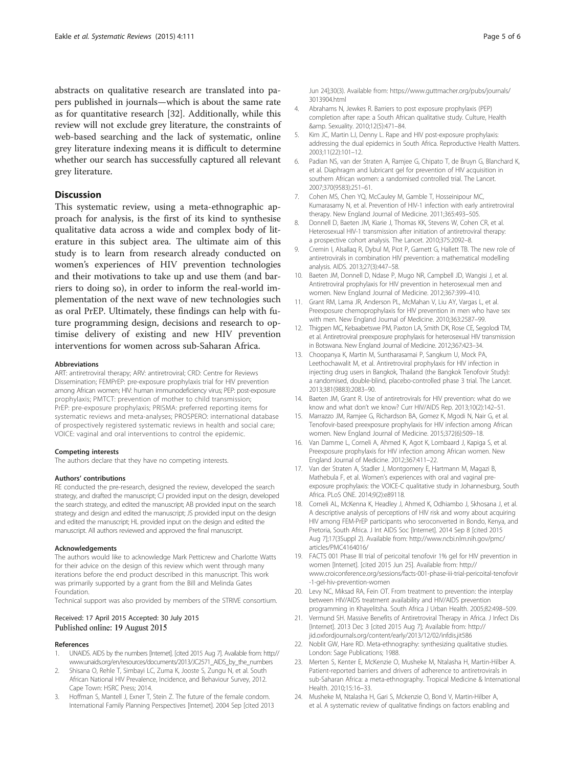<span id="page-4-0"></span>abstracts on qualitative research are translated into papers published in journals—which is about the same rate as for quantitative research [\[32\]](#page-5-0). Additionally, while this review will not exclude grey literature, the constraints of web-based searching and the lack of systematic, online grey literature indexing means it is difficult to determine whether our search has successfully captured all relevant grey literature.

# **Discussion**

This systematic review, using a meta-ethnographic approach for analysis, is the first of its kind to synthesise qualitative data across a wide and complex body of literature in this subject area. The ultimate aim of this study is to learn from research already conducted on women's experiences of HIV prevention technologies and their motivations to take up and use them (and barriers to doing so), in order to inform the real-world implementation of the next wave of new technologies such as oral PrEP. Ultimately, these findings can help with future programming design, decisions and research to optimise delivery of existing and new HIV prevention interventions for women across sub-Saharan Africa.

#### Abbreviations

ART: antiretroviral therapy; ARV: antiretroviral; CRD: Centre for Reviews Dissemination; FEMPrEP: pre-exposure prophylaxis trial for HIV prevention among African women; HIV: human immunodeficiency virus; PEP: post-exposure prophylaxis; PMTCT: prevention of mother to child transmission; PrEP: pre-exposure prophylaxis; PRISMA: preferred reporting items for systematic reviews and meta-analyses; PROSPERO: international database of prospectively registered systematic reviews in health and social care; VOICE: vaginal and oral interventions to control the epidemic.

#### Competing interests

The authors declare that they have no competing interests.

# Authors' contributions

RE conducted the pre-research, designed the review, developed the search strategy, and drafted the manuscript; CJ provided input on the design, developed the search strategy, and edited the manuscript; AB provided input on the search strategy and design and edited the manuscript; JS provided input on the design and edited the manuscript; HL provided input on the design and edited the manuscript. All authors reviewed and approved the final manuscript.

#### Acknowledgements

The authors would like to acknowledge Mark Petticrew and Charlotte Watts for their advice on the design of this review which went through many iterations before the end product described in this manuscript. This work was primarily supported by a grant from the Bill and Melinda Gates Foundation.

Technical support was also provided by members of the STRIVE consortium.

### Received: 17 April 2015 Accepted: 30 July 2015 Published online: 19 August 2015

#### References

- 1. UNAIDS. AIDS by the numbers [Internet]. [cited 2015 Aug 7]. Available from: [http://](http://www.unaids.org/en/resources/documents/2013/JC2571_AIDS_by_the_numbers) [www.unaids.org/en/resources/documents/2013/JC2571\\_AIDS\\_by\\_the\\_numbers](http://www.unaids.org/en/resources/documents/2013/JC2571_AIDS_by_the_numbers)
- 2. Shisana O, Rehle T, Simbayi LC, Zuma K, Jooste S, Zungu N, et al. South African National HIV Prevalence, Incidence, and Behaviour Survey, 2012. Cape Town: HSRC Press; 2014.
- 3. Hoffman S, Mantell J, Exner T, Stein Z. The future of the female condom. International Family Planning Perspectives [Internet]. 2004 Sep [cited 2013

Jun 24];30(3). Available from: [https://www.guttmacher.org/pubs/journals/](https://www.guttmacher.org/pubs/journals/3013904.html) [3013904.html](https://www.guttmacher.org/pubs/journals/3013904.html)

- 4. Abrahams N, Jewkes R. Barriers to post exposure prophylaxis (PEP) completion after rape: a South African qualitative study. Culture, Health &amp. Sexuality. 2010;12(5):471-84.
- Kim JC, Martin LJ, Denny L. Rape and HIV post-exposure prophylaxis: addressing the dual epidemics in South Africa. Reproductive Health Matters. 2003;11(22):101–12.
- 6. Padian NS, van der Straten A, Ramjee G, Chipato T, de Bruyn G, Blanchard K, et al. Diaphragm and lubricant gel for prevention of HIV acquisition in southern African women: a randomised controlled trial. The Lancet. 2007;370(9583):251–61.
- 7. Cohen MS, Chen YQ, McCauley M, Gamble T, Hosseinipour MC, Kumarasamy N, et al. Prevention of HIV-1 infection with early antiretroviral therapy. New England Journal of Medicine. 2011;365:493–505.
- 8. Donnell D, Baeten JM, Kiarie J, Thomas KK, Stevens W, Cohen CR, et al. Heterosexual HIV-1 transmission after initiation of antiretroviral therapy: a prospective cohort analysis. The Lancet. 2010;375:2092–8.
- 9. Cremin I, Alsallaq R, Dybul M, Piot P, Garnett G, Hallett TB. The new role of antiretrovirals in combination HIV prevention: a mathematical modelling analysis. AIDS. 2013;27(3):447–58.
- 10. Baeten JM, Donnell D, Ndase P, Mugo NR, Campbell JD, Wangisi J, et al. Antiretroviral prophylaxis for HIV prevention in heterosexual men and women. New England Journal of Medicine. 2012;367:399–410.
- 11. Grant RM, Lama JR, Anderson PL, McMahan V, Liu AY, Vargas L, et al. Preexposure chemoprophylaxis for HIV prevention in men who have sex with men. New England Journal of Medicine. 2010;363:2587–99.
- 12. Thigpen MC, Kebaabetswe PM, Paxton LA, Smith DK, Rose CE, Segolodi TM, et al. Antiretroviral preexposure prophylaxis for heterosexual HIV transmission in Botswana. New England Journal of Medicine. 2012;367:423–34.
- 13. Choopanya K, Martin M, Suntharasamai P, Sangkum U, Mock PA, Leethochawalit M, et al. Antiretroviral prophylaxis for HIV infection in injecting drug users in Bangkok, Thailand (the Bangkok Tenofovir Study): a randomised, double-blind, placebo-controlled phase 3 trial. The Lancet. 2013;381(9883):2083–90.
- 14. Baeten JM, Grant R. Use of antiretrovirals for HIV prevention: what do we know and what don't we know? Curr HIV/AIDS Rep. 2013;10(2):142–51.
- 15. Marrazzo JM, Ramjee G, Richardson BA, Gomez K, Mgodi N, Nair G, et al. Tenofovir-based preexposure prophylaxis for HIV infection among African women. New England Journal of Medicine. 2015;372(6):509–18.
- 16. Van Damme L, Corneli A, Ahmed K, Agot K, Lombaard J, Kapiga S, et al. Preexposure prophylaxis for HIV infection among African women. New England Journal of Medicine. 2012;367:411–22.
- 17. Van der Straten A, Stadler J, Montgomery E, Hartmann M, Magazi B, Mathebula F, et al. Women's experiences with oral and vaginal preexposure prophylaxis: the VOICE-C qualitative study in Johannesburg, South Africa. PLoS ONE. 2014;9(2):e89118.
- 18. Corneli AL, McKenna K, Headley J, Ahmed K, Odhiambo J, Skhosana J, et al. A descriptive analysis of perceptions of HIV risk and worry about acquiring HIV among FEM-PrEP participants who seroconverted in Bondo, Kenya, and Pretoria, South Africa. J Int AIDS Soc [Internet]. 2014 Sep 8 [cited 2015 Aug 7];17(3Suppl 2). Available from: [http://www.ncbi.nlm.nih.gov/pmc/](http://www.ncbi.nlm.nih.gov/pmc/articles/PMC4164016/) [articles/PMC4164016/](http://www.ncbi.nlm.nih.gov/pmc/articles/PMC4164016/)
- 19. FACTS 001 Phase III trial of pericoital tenofovir 1% gel for HIV prevention in women [Internet]. [cited 2015 Jun 25]. Available from: [http://](http://www.croiconference.org/sessions/facts-001-phase-iii-trial-pericoital-tenofovir-1-gel-hiv-prevention-women) [www.croiconference.org/sessions/facts-001-phase-iii-trial-pericoital-tenofovir](http://www.croiconference.org/sessions/facts-001-phase-iii-trial-pericoital-tenofovir-1-gel-hiv-prevention-women) [-1-gel-hiv-prevention-women](http://www.croiconference.org/sessions/facts-001-phase-iii-trial-pericoital-tenofovir-1-gel-hiv-prevention-women)
- 20. Levy NC, Miksad RA, Fein OT. From treatment to prevention: the interplay between HIV/AIDS treatment availability and HIV/AIDS prevention programming in Khayelitsha. South Africa J Urban Health. 2005;82:498–509.
- 21. Vermund SH. Massive Benefits of Antiretroviral Therapy in Africa. J Infect Dis [Internet]. 2013 Dec 3 [cited 2015 Aug 7]; Available from: [http://](http://jid.oxfordjournals.org/content/early/2013/12/02/infdis.jit586) [jid.oxfordjournals.org/content/early/2013/12/02/infdis.jit586](http://jid.oxfordjournals.org/content/early/2013/12/02/infdis.jit586)
- 22. Noblit GW, Hare RD. Meta-ethnography: synthesizing qualitative studies. London: Sage Publications; 1988.
- 23. Merten S, Kenter E, McKenzie O, Musheke M, Ntalasha H, Martin-Hilber A. Patient-reported barriers and drivers of adherence to antiretrovirals in sub-Saharan Africa: a meta-ethnography. Tropical Medicine & International Health. 2010;15:16–33.
- 24. Musheke M, Ntalasha H, Gari S, Mckenzie O, Bond V, Martin-Hilber A, et al. A systematic review of qualitative findings on factors enabling and